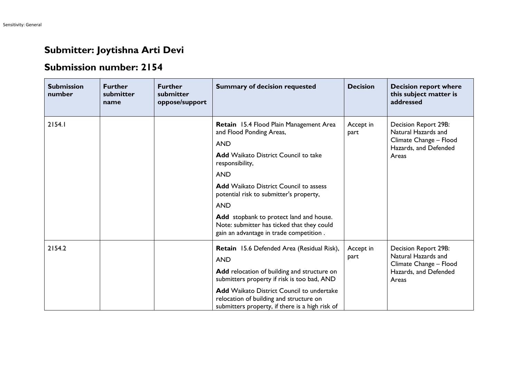## **Submitter: Joytishna Arti Devi**

## **Submission number: 2154**

| <b>Submission</b><br>number | <b>Further</b><br>submitter<br>name | <b>Further</b><br>submitter<br>oppose/support | <b>Summary of decision requested</b>                                                                                                           | <b>Decision</b>   | <b>Decision report where</b><br>this subject matter is<br>addressed                                     |
|-----------------------------|-------------------------------------|-----------------------------------------------|------------------------------------------------------------------------------------------------------------------------------------------------|-------------------|---------------------------------------------------------------------------------------------------------|
| 2154.1                      |                                     |                                               | Retain 15.4 Flood Plain Management Area<br>and Flood Ponding Areas,<br><b>AND</b><br><b>Add</b> Waikato District Council to take               | Accept in<br>part | Decision Report 29B:<br>Natural Hazards and<br>Climate Change - Flood<br>Hazards, and Defended<br>Areas |
|                             |                                     |                                               | responsibility,<br><b>AND</b><br><b>Add</b> Waikato District Council to assess                                                                 |                   |                                                                                                         |
|                             |                                     |                                               | potential risk to submitter's property,<br><b>AND</b>                                                                                          |                   |                                                                                                         |
|                             |                                     |                                               | Add stopbank to protect land and house.<br>Note: submitter has ticked that they could<br>gain an advantage in trade competition.               |                   |                                                                                                         |
| 2154.2                      |                                     |                                               | Retain 15.6 Defended Area (Residual Risk),<br><b>AND</b>                                                                                       | Accept in<br>part | Decision Report 29B:<br>Natural Hazards and<br>Climate Change - Flood<br>Hazards, and Defended<br>Areas |
|                             |                                     |                                               | Add relocation of building and structure on<br>submitters property if risk is too bad, AND                                                     |                   |                                                                                                         |
|                             |                                     |                                               | <b>Add Waikato District Council to undertake</b><br>relocation of building and structure on<br>submitters property, if there is a high risk of |                   |                                                                                                         |